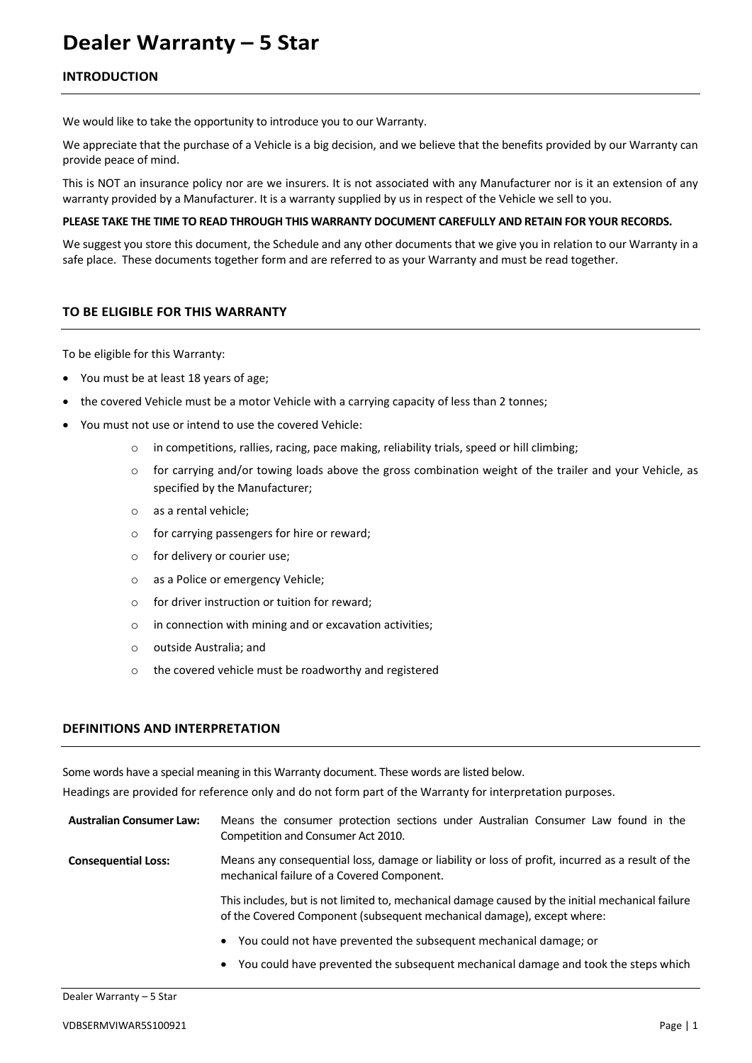# **Dealer Warranty – 5 Star**

# **INTRODUCTION**

We would like to take the opportunity to introduce you to our Warranty.

We appreciate that the purchase of a Vehicle is a big decision, and we believe that the benefits provided by our Warranty can provide peace of mind.

This is NOT an insurance policy nor are we insurers. It is not associated with any Manufacturer nor is it an extension of any warranty provided by a Manufacturer. It is a warranty supplied by us in respect of the Vehicle we sell to you.

## **PLEASE TAKE THE TIME TO READ THROUGH THIS WARRANTY DOCUMENT CAREFULLY AND RETAIN FOR YOUR RECORDS.**

We suggest you store this document, the Schedule and any other documents that we give you in relation to our Warranty in a safe place. These documents together form and are referred to as your Warranty and must be read together.

# **TO BE ELIGIBLE FOR THIS WARRANTY**

To be eligible for this Warranty:

- You must be at least 18 years of age;
- the covered Vehicle must be a motor Vehicle with a carrying capacity of less than 2 tonnes;
- You must not use or intend to use the covered Vehicle:
	- o in competitions, rallies, racing, pace making, reliability trials, speed or hill climbing;
	- $\circ$  for carrying and/or towing loads above the gross combination weight of the trailer and your Vehicle, as specified by the Manufacturer;
	- o as a rental vehicle;
	- o for carrying passengers for hire or reward;
	- o for delivery or courier use;
	- o as a Police or emergency Vehicle;
	- $\circ$  for driver instruction or tuition for reward:
	- o in connection with mining and or excavation activities;
	- o outside Australia; and
	- o the covered vehicle must be roadworthy and registered

# **DEFINITIONS AND INTERPRETATION**

Some words have a special meaning in this Warranty document. These words are listed below.

Headings are provided for reference only and do not form part of the Warranty for interpretation purposes.

**Australian Consumer Law:** Means the consumer protection sections under Australian Consumer Law found in the Competition and Consumer Act 2010.

**Consequential Loss:** Means any consequential loss, damage or liability or loss of profit, incurred as a result of the mechanical failure of a Covered Component.

> This includes, but is not limited to, mechanical damage caused by the initial mechanical failure of the Covered Component (subsequent mechanical damage), except where:

- You could not have prevented the subsequent mechanical damage; or
- You could have prevented the subsequent mechanical damage and took the steps which

#### Dealer Warranty – 5 Star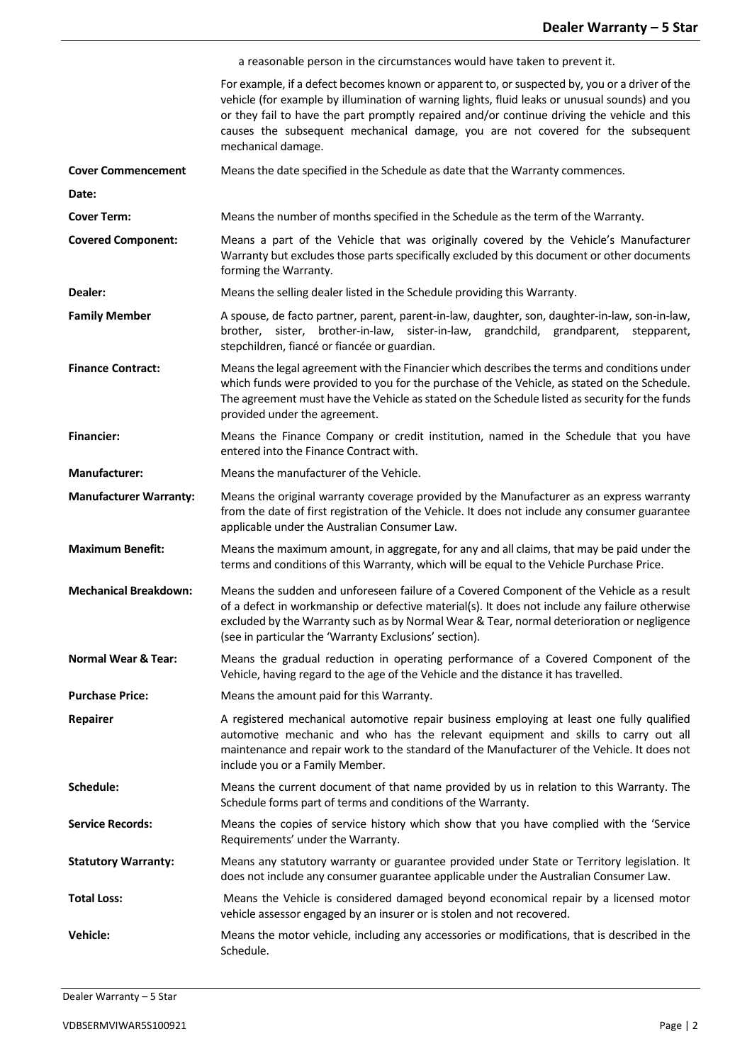|                                | a reasonable person in the circumstances would have taken to prevent it.                                                                                                                                                                                                                                                                                                                                  |
|--------------------------------|-----------------------------------------------------------------------------------------------------------------------------------------------------------------------------------------------------------------------------------------------------------------------------------------------------------------------------------------------------------------------------------------------------------|
|                                | For example, if a defect becomes known or apparent to, or suspected by, you or a driver of the<br>vehicle (for example by illumination of warning lights, fluid leaks or unusual sounds) and you<br>or they fail to have the part promptly repaired and/or continue driving the vehicle and this<br>causes the subsequent mechanical damage, you are not covered for the subsequent<br>mechanical damage. |
| <b>Cover Commencement</b>      | Means the date specified in the Schedule as date that the Warranty commences.                                                                                                                                                                                                                                                                                                                             |
| Date:                          |                                                                                                                                                                                                                                                                                                                                                                                                           |
| <b>Cover Term:</b>             | Means the number of months specified in the Schedule as the term of the Warranty.                                                                                                                                                                                                                                                                                                                         |
| <b>Covered Component:</b>      | Means a part of the Vehicle that was originally covered by the Vehicle's Manufacturer<br>Warranty but excludes those parts specifically excluded by this document or other documents<br>forming the Warranty.                                                                                                                                                                                             |
| Dealer:                        | Means the selling dealer listed in the Schedule providing this Warranty.                                                                                                                                                                                                                                                                                                                                  |
| <b>Family Member</b>           | A spouse, de facto partner, parent, parent-in-law, daughter, son, daughter-in-law, son-in-law,<br>brother, sister, brother-in-law, sister-in-law, grandchild, grandparent,<br>stepparent,<br>stepchildren, fiancé or fiancée or guardian.                                                                                                                                                                 |
| <b>Finance Contract:</b>       | Means the legal agreement with the Financier which describes the terms and conditions under<br>which funds were provided to you for the purchase of the Vehicle, as stated on the Schedule.<br>The agreement must have the Vehicle as stated on the Schedule listed as security for the funds<br>provided under the agreement.                                                                            |
| <b>Financier:</b>              | Means the Finance Company or credit institution, named in the Schedule that you have<br>entered into the Finance Contract with.                                                                                                                                                                                                                                                                           |
| <b>Manufacturer:</b>           | Means the manufacturer of the Vehicle.                                                                                                                                                                                                                                                                                                                                                                    |
| <b>Manufacturer Warranty:</b>  | Means the original warranty coverage provided by the Manufacturer as an express warranty<br>from the date of first registration of the Vehicle. It does not include any consumer guarantee<br>applicable under the Australian Consumer Law.                                                                                                                                                               |
| <b>Maximum Benefit:</b>        | Means the maximum amount, in aggregate, for any and all claims, that may be paid under the<br>terms and conditions of this Warranty, which will be equal to the Vehicle Purchase Price.                                                                                                                                                                                                                   |
| <b>Mechanical Breakdown:</b>   | Means the sudden and unforeseen failure of a Covered Component of the Vehicle as a result<br>of a defect in workmanship or defective material(s). It does not include any failure otherwise<br>excluded by the Warranty such as by Normal Wear & Tear, normal deterioration or negligence<br>(see in particular the 'Warranty Exclusions' section).                                                       |
| <b>Normal Wear &amp; Tear:</b> | Means the gradual reduction in operating performance of a Covered Component of the<br>Vehicle, having regard to the age of the Vehicle and the distance it has travelled.                                                                                                                                                                                                                                 |
| <b>Purchase Price:</b>         | Means the amount paid for this Warranty.                                                                                                                                                                                                                                                                                                                                                                  |
| Repairer                       | A registered mechanical automotive repair business employing at least one fully qualified<br>automotive mechanic and who has the relevant equipment and skills to carry out all<br>maintenance and repair work to the standard of the Manufacturer of the Vehicle. It does not<br>include you or a Family Member.                                                                                         |
| Schedule:                      | Means the current document of that name provided by us in relation to this Warranty. The<br>Schedule forms part of terms and conditions of the Warranty.                                                                                                                                                                                                                                                  |
| <b>Service Records:</b>        | Means the copies of service history which show that you have complied with the 'Service<br>Requirements' under the Warranty.                                                                                                                                                                                                                                                                              |
| <b>Statutory Warranty:</b>     | Means any statutory warranty or guarantee provided under State or Territory legislation. It<br>does not include any consumer guarantee applicable under the Australian Consumer Law.                                                                                                                                                                                                                      |
| <b>Total Loss:</b>             | Means the Vehicle is considered damaged beyond economical repair by a licensed motor<br>vehicle assessor engaged by an insurer or is stolen and not recovered.                                                                                                                                                                                                                                            |
| <b>Vehicle:</b>                | Means the motor vehicle, including any accessories or modifications, that is described in the<br>Schedule.                                                                                                                                                                                                                                                                                                |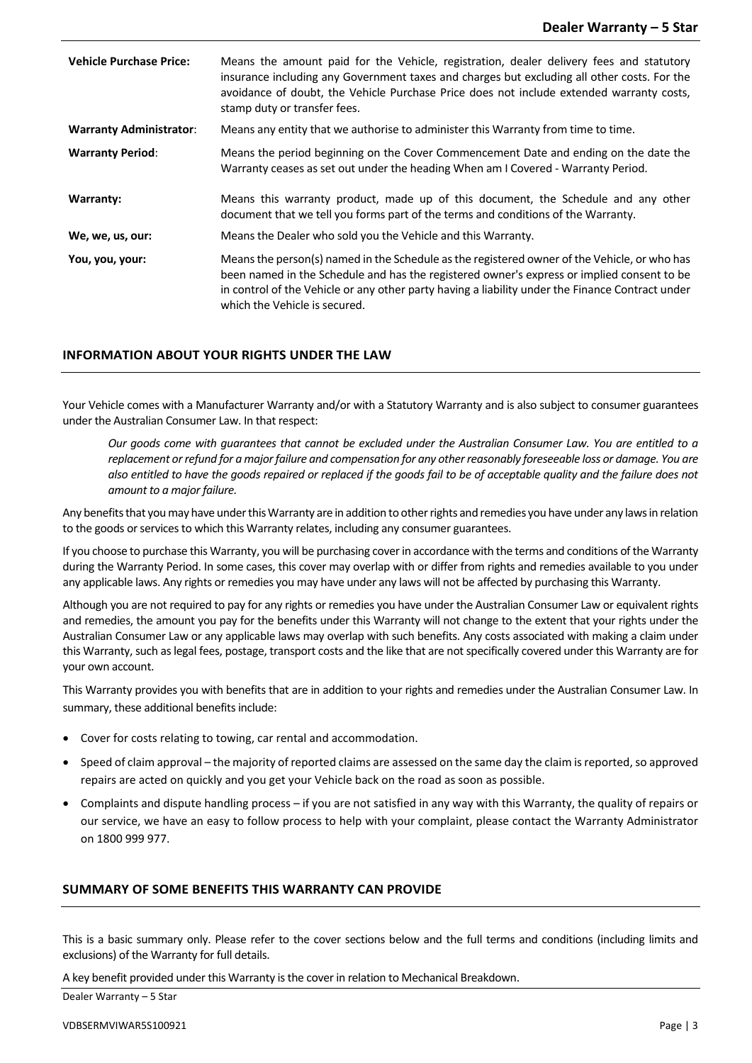| <b>Vehicle Purchase Price:</b> | Means the amount paid for the Vehicle, registration, dealer delivery fees and statutory<br>insurance including any Government taxes and charges but excluding all other costs. For the<br>avoidance of doubt, the Vehicle Purchase Price does not include extended warranty costs,<br>stamp duty or transfer fees.              |
|--------------------------------|---------------------------------------------------------------------------------------------------------------------------------------------------------------------------------------------------------------------------------------------------------------------------------------------------------------------------------|
| <b>Warranty Administrator:</b> | Means any entity that we authorise to administer this Warranty from time to time.                                                                                                                                                                                                                                               |
| <b>Warranty Period:</b>        | Means the period beginning on the Cover Commencement Date and ending on the date the<br>Warranty ceases as set out under the heading When am I Covered - Warranty Period.                                                                                                                                                       |
| Warranty:                      | Means this warranty product, made up of this document, the Schedule and any other<br>document that we tell you forms part of the terms and conditions of the Warranty.                                                                                                                                                          |
| We, we, us, our:               | Means the Dealer who sold you the Vehicle and this Warranty.                                                                                                                                                                                                                                                                    |
| You, you, your:                | Means the person(s) named in the Schedule as the registered owner of the Vehicle, or who has<br>been named in the Schedule and has the registered owner's express or implied consent to be<br>in control of the Vehicle or any other party having a liability under the Finance Contract under<br>which the Vehicle is secured. |

# **INFORMATION ABOUT YOUR RIGHTS UNDER THE LAW**

Your Vehicle comes with a Manufacturer Warranty and/or with a Statutory Warranty and is also subject to consumer guarantees under the Australian Consumer Law. In that respect:

*Our goods come with guarantees that cannot be excluded under the Australian Consumer Law. You are entitled to a replacement or refund for a major failure and compensation for any other reasonably foreseeable loss or damage. You are also entitled to have the goods repaired or replaced if the goods fail to be of acceptable quality and the failure does not amount to a major failure.*

Any benefits that you may have under this Warranty are in addition to other rights and remedies you have under any lawsin relation to the goods or services to which this Warranty relates, including any consumer guarantees.

If you choose to purchase this Warranty, you will be purchasing coverin accordance with the terms and conditions of the Warranty during the Warranty Period. In some cases, this cover may overlap with or differ from rights and remedies available to you under any applicable laws. Any rights or remedies you may have under any laws will not be affected by purchasing this Warranty.

Although you are not required to pay for any rights or remedies you have under the Australian Consumer Law or equivalent rights and remedies, the amount you pay for the benefits under this Warranty will not change to the extent that your rights under the Australian Consumer Law or any applicable laws may overlap with such benefits. Any costs associated with making a claim under this Warranty, such as legal fees, postage, transport costs and the like that are not specifically covered under this Warranty are for your own account.

This Warranty provides you with benefits that are in addition to your rights and remedies under the Australian Consumer Law. In summary, these additional benefits include:

- Cover for costs relating to towing, car rental and accommodation.
- Speed of claim approval the majority of reported claims are assessed on the same day the claim is reported, so approved repairs are acted on quickly and you get your Vehicle back on the road as soon as possible.
- Complaints and dispute handling process if you are not satisfied in any way with this Warranty, the quality of repairs or our service, we have an easy to follow process to help with your complaint, please contact the Warranty Administrator on 1800 999 977.

# **SUMMARY OF SOME BENEFITS THIS WARRANTY CAN PROVIDE**

This is a basic summary only. Please refer to the cover sections below and the full terms and conditions (including limits and exclusions) of the Warranty for full details.

A key benefit provided under this Warranty is the cover in relation to Mechanical Breakdown.

Dealer Warranty – 5 Star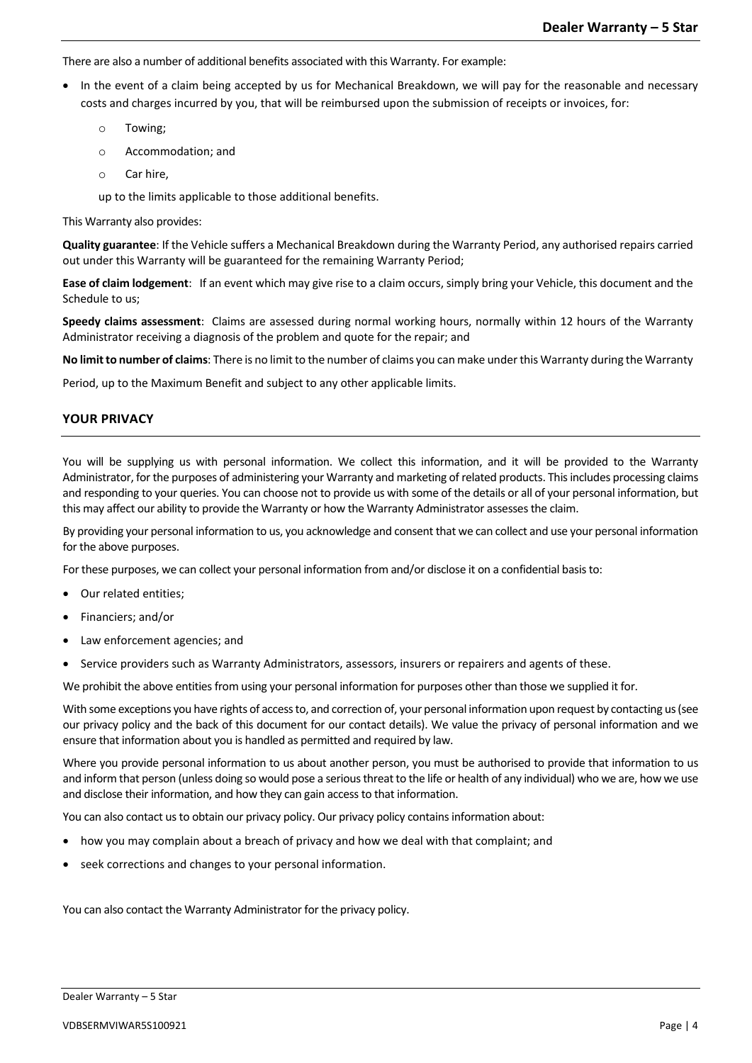There are also a number of additional benefits associated with this Warranty. For example:

- In the event of a claim being accepted by us for Mechanical Breakdown, we will pay for the reasonable and necessary costs and charges incurred by you, that will be reimbursed upon the submission of receipts or invoices, for:
	- o Towing;
	- o Accommodation; and
	- o Car hire,

up to the limits applicable to those additional benefits.

This Warranty also provides:

**Quality guarantee**: If the Vehicle suffers a Mechanical Breakdown during the Warranty Period, any authorised repairs carried out under this Warranty will be guaranteed for the remaining Warranty Period;

**Ease of claim lodgement**: If an event which may give rise to a claim occurs, simply bring your Vehicle, this document and the Schedule to us;

**Speedy claims assessment**: Claims are assessed during normal working hours, normally within 12 hours of the Warranty Administrator receiving a diagnosis of the problem and quote for the repair; and

**No limit to number of claims**: There is no limit to the number of claims you can make under this Warranty during the Warranty

Period, up to the Maximum Benefit and subject to any other applicable limits.

# **YOUR PRIVACY**

You will be supplying us with personal information. We collect this information, and it will be provided to the Warranty Administrator, for the purposes of administering your Warranty and marketing of related products. This includes processing claims and responding to your queries. You can choose not to provide us with some of the details or all of your personal information, but this may affect our ability to provide the Warranty or how the Warranty Administrator assesses the claim.

By providing your personal information to us, you acknowledge and consent that we can collect and use your personal information for the above purposes.

For these purposes, we can collect your personal information from and/or disclose it on a confidential basisto:

- Our related entities;
- Financiers; and/or
- Law enforcement agencies; and
- Service providers such as Warranty Administrators, assessors, insurers or repairers and agents of these.

We prohibit the above entities from using your personal information for purposes other than those we supplied it for.

With some exceptions you have rights of access to, and correction of, your personal information upon request by contacting us (see our privacy policy and the back of this document for our contact details). We value the privacy of personal information and we ensure that information about you is handled as permitted and required by law.

Where you provide personal information to us about another person, you must be authorised to provide that information to us and inform that person (unless doing so would pose a serious threat to the life or health of any individual) who we are, how we use and disclose their information, and how they can gain access to that information.

You can also contact us to obtain our privacy policy. Our privacy policy contains information about:

- how you may complain about a breach of privacy and how we deal with that complaint; and
- seek corrections and changes to your personal information.

You can also contact the Warranty Administrator for the privacy policy.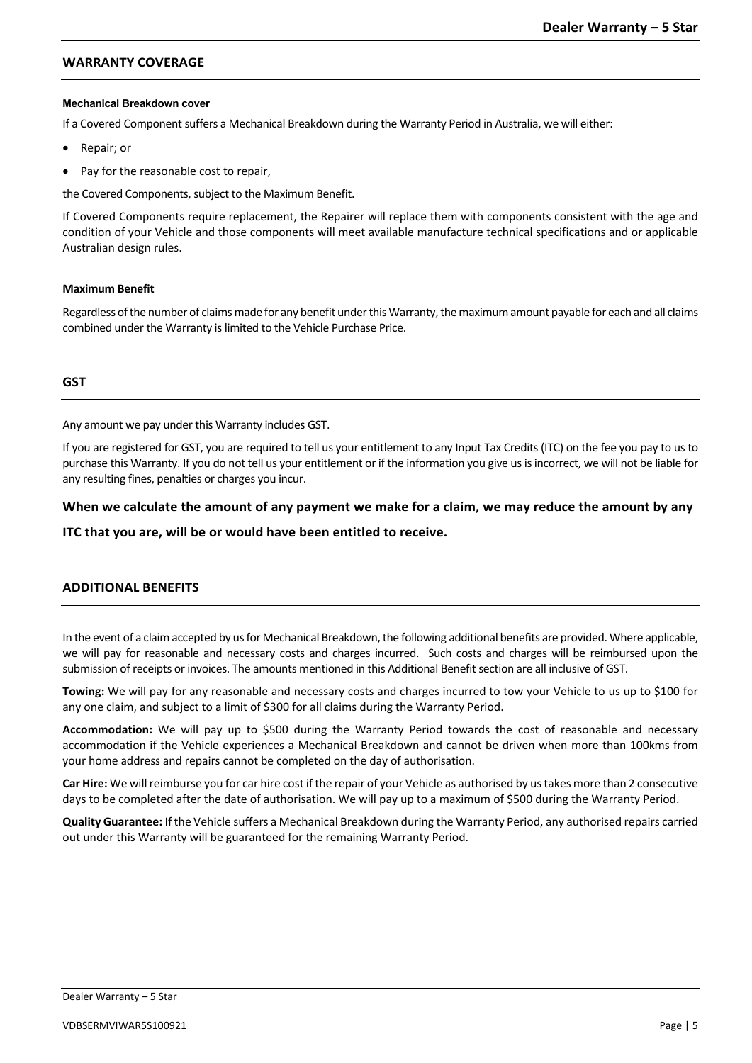# **WARRANTY COVERAGE**

# **Mechanical Breakdown cover**

If a Covered Component suffers a Mechanical Breakdown during the Warranty Period in Australia, we will either:

- Repair; or
- Pay for the reasonable cost to repair,

the Covered Components, subject to the Maximum Benefit.

If Covered Components require replacement, the Repairer will replace them with components consistent with the age and condition of your Vehicle and those components will meet available manufacture technical specifications and or applicable Australian design rules.

## **Maximum Benefit**

Regardless of the number of claims made for any benefit under this Warranty, the maximum amount payable for each and all claims combined under the Warranty is limited to the Vehicle Purchase Price.

# **GST**

Any amount we pay under this Warranty includes GST.

If you are registered for GST, you are required to tell us your entitlement to any Input Tax Credits (ITC) on the fee you pay to us to purchase this Warranty. If you do not tell us your entitlement or if the information you give us is incorrect, we will not be liable for any resulting fines, penalties or charges you incur.

# **When we calculate the amount of any payment we make for a claim, we may reduce the amount by any**

**ITC that you are, will be or would have been entitled to receive.**

# **ADDITIONAL BENEFITS**

In the event of a claimaccepted by us for Mechanical Breakdown, the following additional benefits are provided. Where applicable, we will pay for reasonable and necessary costs and charges incurred. Such costs and charges will be reimbursed upon the submission of receipts or invoices. The amounts mentioned in this Additional Benefit section are all inclusive of GST.

**Towing:** We will pay for any reasonable and necessary costs and charges incurred to tow your Vehicle to us up to \$100 for any one claim, and subject to a limit of \$300 for all claims during the Warranty Period.

**Accommodation:** We will pay up to \$500 during the Warranty Period towards the cost of reasonable and necessary accommodation if the Vehicle experiences a Mechanical Breakdown and cannot be driven when more than 100kms from your home address and repairs cannot be completed on the day of authorisation.

**Car Hire:** We will reimburse you for car hire cost if the repair of your Vehicle as authorised by us takes more than 2 consecutive days to be completed after the date of authorisation. We will pay up to a maximum of \$500 during the Warranty Period.

**Quality Guarantee:** If the Vehicle suffers a Mechanical Breakdown during the Warranty Period, any authorised repairs carried out under this Warranty will be guaranteed for the remaining Warranty Period.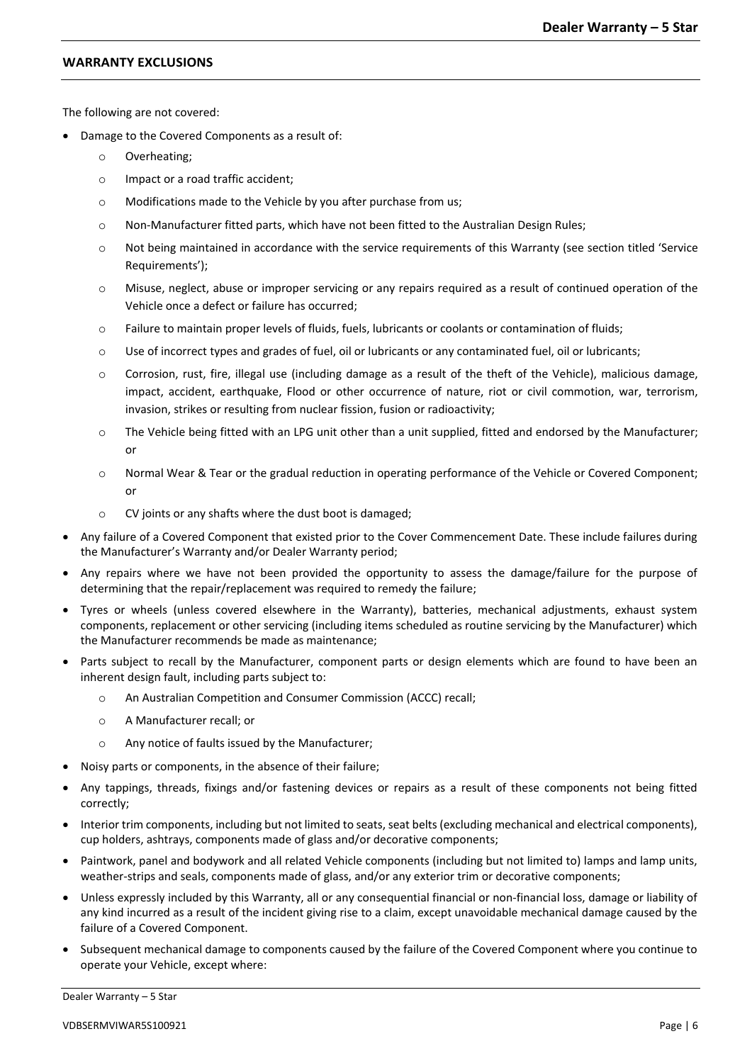# **WARRANTY EXCLUSIONS**

The following are not covered:

- Damage to the Covered Components as a result of:
	- o Overheating;
	- o Impact or a road traffic accident;
	- o Modifications made to the Vehicle by you after purchase from us;
	- o Non-Manufacturer fitted parts, which have not been fitted to the Australian Design Rules;
	- o Not being maintained in accordance with the service requirements of this Warranty (see section titled 'Service Requirements');
	- o Misuse, neglect, abuse or improper servicing or any repairs required as a result of continued operation of the Vehicle once a defect or failure has occurred;
	- o Failure to maintain proper levels of fluids, fuels, lubricants or coolants or contamination of fluids;
	- o Use of incorrect types and grades of fuel, oil or lubricants or any contaminated fuel, oil or lubricants;
	- o Corrosion, rust, fire, illegal use (including damage as a result of the theft of the Vehicle), malicious damage, impact, accident, earthquake, Flood or other occurrence of nature, riot or civil commotion, war, terrorism, invasion, strikes or resulting from nuclear fission, fusion or radioactivity;
	- o The Vehicle being fitted with an LPG unit other than a unit supplied, fitted and endorsed by the Manufacturer; or
	- o Normal Wear & Tear or the gradual reduction in operating performance of the Vehicle or Covered Component; or
	- o CV joints or any shafts where the dust boot is damaged;
- Any failure of a Covered Component that existed prior to the Cover Commencement Date. These include failures during the Manufacturer's Warranty and/or Dealer Warranty period;
- Any repairs where we have not been provided the opportunity to assess the damage/failure for the purpose of determining that the repair/replacement was required to remedy the failure;
- Tyres or wheels (unless covered elsewhere in the Warranty), batteries, mechanical adjustments, exhaust system components, replacement or other servicing (including items scheduled as routine servicing by the Manufacturer) which the Manufacturer recommends be made as maintenance;
- Parts subject to recall by the Manufacturer, component parts or design elements which are found to have been an inherent design fault, including parts subject to:
	- An Australian Competition and Consumer Commission (ACCC) recall;
	- o A Manufacturer recall; or
	- o Any notice of faults issued by the Manufacturer;
- Noisy parts or components, in the absence of their failure;
- Any tappings, threads, fixings and/or fastening devices or repairs as a result of these components not being fitted correctly;
- Interior trim components, including but not limited to seats, seat belts (excluding mechanical and electrical components), cup holders, ashtrays, components made of glass and/or decorative components;
- Paintwork, panel and bodywork and all related Vehicle components (including but not limited to) lamps and lamp units, weather-strips and seals, components made of glass, and/or any exterior trim or decorative components;
- Unless expressly included by this Warranty, all or any consequential financial or non-financial loss, damage or liability of any kind incurred as a result of the incident giving rise to a claim, except unavoidable mechanical damage caused by the failure of a Covered Component.
- Subsequent mechanical damage to components caused by the failure of the Covered Component where you continue to operate your Vehicle, except where: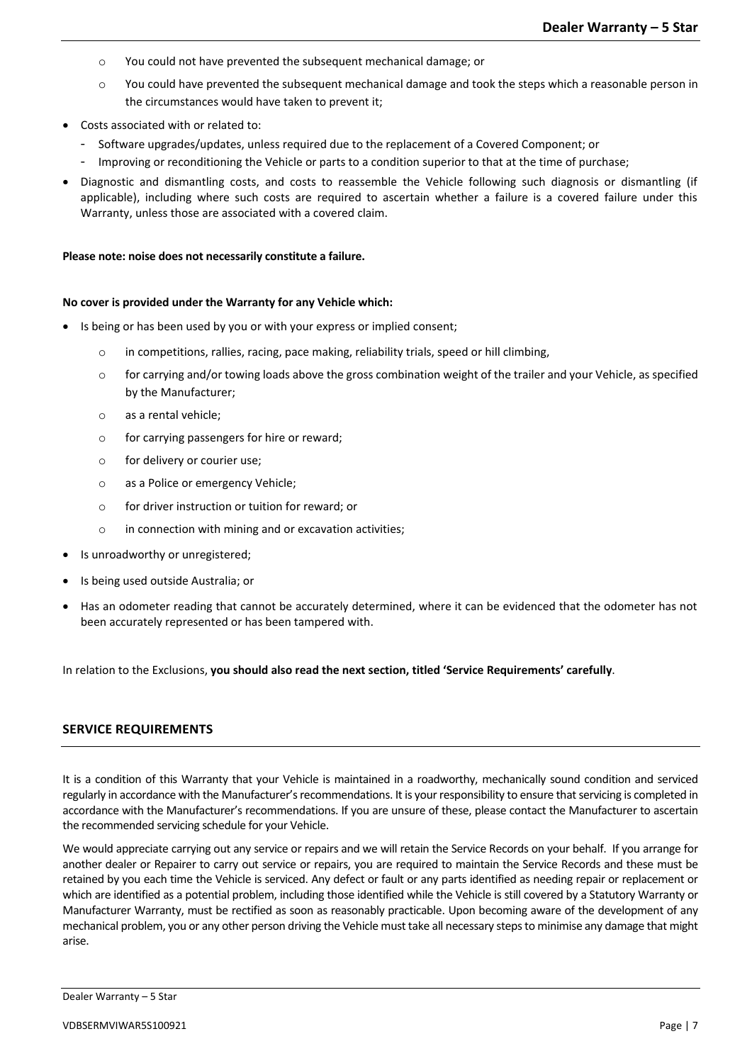- o You could not have prevented the subsequent mechanical damage; or
- o You could have prevented the subsequent mechanical damage and took the steps which a reasonable person in the circumstances would have taken to prevent it;
- Costs associated with or related to:
	- Software upgrades/updates, unless required due to the replacement of a Covered Component; or
	- Improving or reconditioning the Vehicle or parts to a condition superior to that at the time of purchase;
- Diagnostic and dismantling costs, and costs to reassemble the Vehicle following such diagnosis or dismantling (if applicable), including where such costs are required to ascertain whether a failure is a covered failure under this Warranty, unless those are associated with a covered claim.

#### **Please note: noise does not necessarily constitute a failure.**

## **No cover is provided under the Warranty for any Vehicle which:**

- Is being or has been used by you or with your express or implied consent;
	- o in competitions, rallies, racing, pace making, reliability trials, speed or hill climbing,
	- $\circ$  for carrying and/or towing loads above the gross combination weight of the trailer and your Vehicle, as specified by the Manufacturer;
	- o as a rental vehicle;
	- o for carrying passengers for hire or reward;
	- o for delivery or courier use;
	- o as a Police or emergency Vehicle;
	- o for driver instruction or tuition for reward; or
	- o in connection with mining and or excavation activities;
- Is unroadworthy or unregistered;
- Is being used outside Australia; or
- Has an odometer reading that cannot be accurately determined, where it can be evidenced that the odometer has not been accurately represented or has been tampered with.

In relation to the Exclusions, **you should also read the next section, titled 'Service Requirements' carefully**.

## **SERVICE REQUIREMENTS**

It is a condition of this Warranty that your Vehicle is maintained in a roadworthy, mechanically sound condition and serviced regularly in accordance with the Manufacturer's recommendations. It is yourresponsibility to ensure that servicing is completed in accordance with the Manufacturer's recommendations. If you are unsure of these, please contact the Manufacturer to ascertain the recommended servicing schedule for your Vehicle.

We would appreciate carrying out any service or repairs and we will retain the Service Records on your behalf. If you arrange for another dealer or Repairer to carry out service or repairs, you are required to maintain the Service Records and these must be retained by you each time the Vehicle is serviced. Any defect or fault or any parts identified as needing repair or replacement or which are identified as a potential problem, including those identified while the Vehicle is still covered by a Statutory Warranty or Manufacturer Warranty, must be rectified as soon as reasonably practicable. Upon becoming aware of the development of any mechanical problem, you or any other person driving the Vehicle must take all necessary steps to minimise any damage that might arise.

Dealer Warranty – 5 Star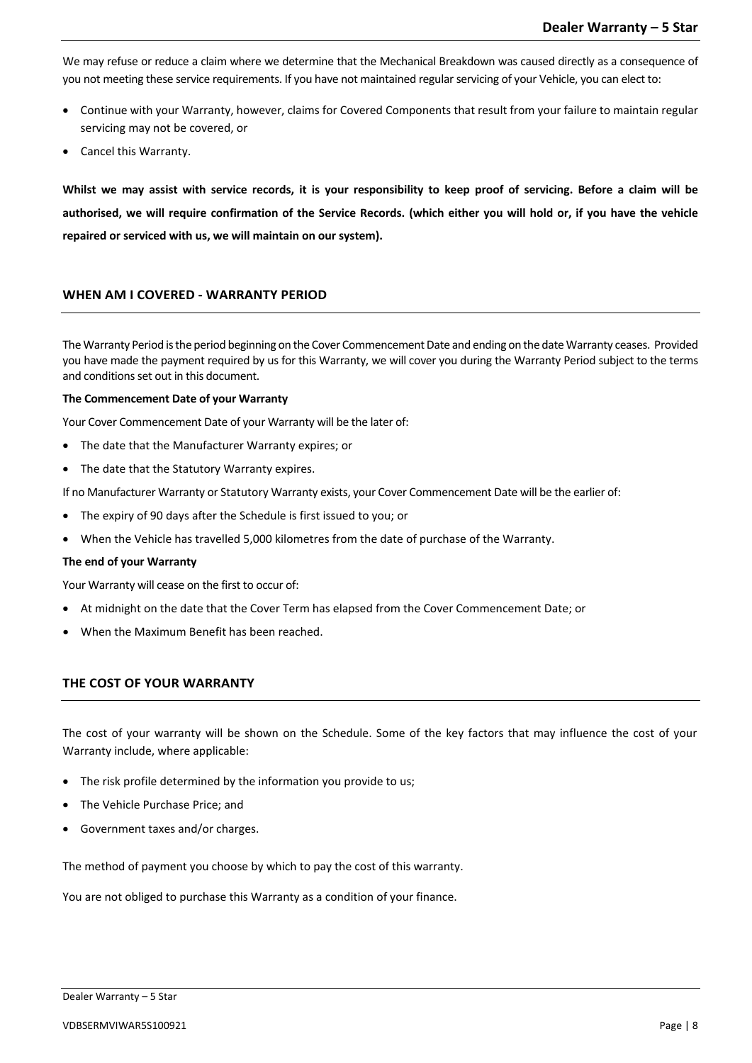We may refuse or reduce a claim where we determine that the Mechanical Breakdown was caused directly as a consequence of you not meeting these service requirements. If you have not maintained regular servicing of your Vehicle, you can elect to:

- Continue with your Warranty, however, claims for Covered Components that result from your failure to maintain regular servicing may not be covered, or
- Cancel this Warranty.

**Whilst we may assist with service records, it is your responsibility to keep proof of servicing. Before a claim will be authorised, we will require confirmation of the Service Records. (which either you will hold or, if you have the vehicle repaired or serviced with us, we will maintain on our system).** 

# **WHEN AM I COVERED - WARRANTY PERIOD**

The Warranty Period is the period beginning on the Cover Commencement Date and ending on the date Warranty ceases. Provided you have made the payment required by us for this Warranty, we will cover you during the Warranty Period subject to the terms and conditions set out in this document.

#### **The Commencement Date of your Warranty**

Your Cover Commencement Date of your Warranty will be the later of:

- The date that the Manufacturer Warranty expires; or
- The date that the Statutory Warranty expires.

If no Manufacturer Warranty or Statutory Warranty exists, your Cover Commencement Date will be the earlier of:

- The expiry of 90 days after the Schedule is first issued to you; or
- When the Vehicle has travelled 5,000 kilometres from the date of purchase of the Warranty.

#### **The end of your Warranty**

Your Warranty will cease on the first to occur of:

- At midnight on the date that the Cover Term has elapsed from the Cover Commencement Date; or
- When the Maximum Benefit has been reached.

# **THE COST OF YOUR WARRANTY**

The cost of your warranty will be shown on the Schedule. Some of the key factors that may influence the cost of your Warranty include, where applicable:

- The risk profile determined by the information you provide to us;
- The Vehicle Purchase Price; and
- Government taxes and/or charges.

The method of payment you choose by which to pay the cost of this warranty.

You are not obliged to purchase this Warranty as a condition of your finance.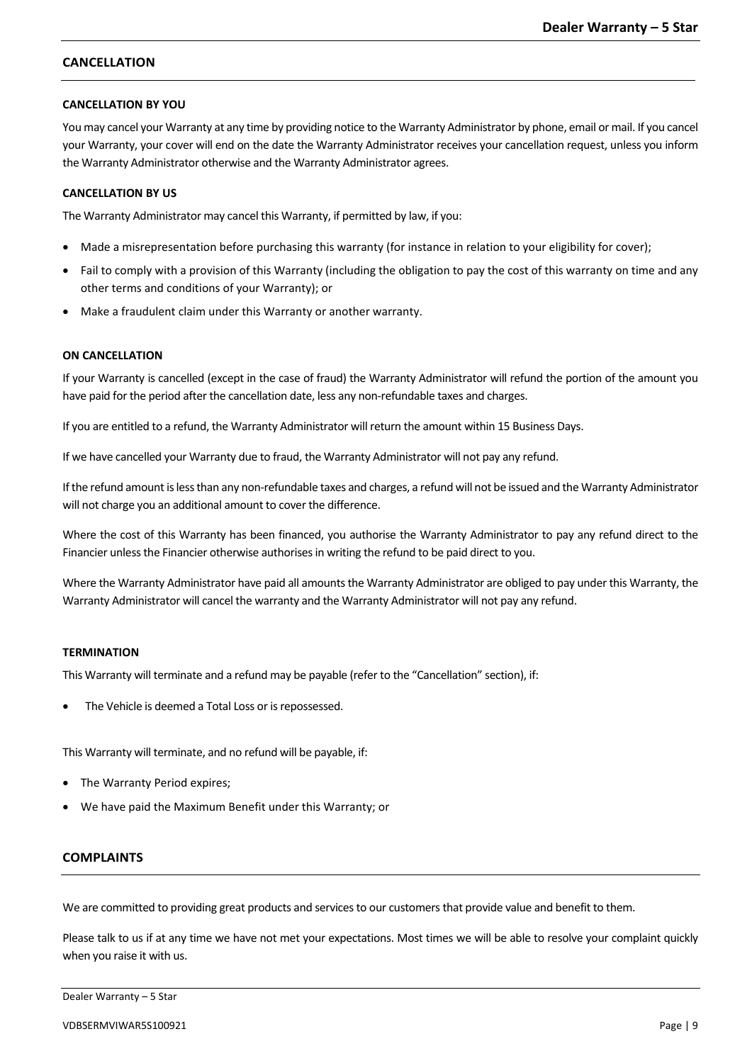# **CANCELLATION**

# **CANCELLATION BY YOU**

You may cancel your Warranty at any time by providing notice to the Warranty Administrator by phone, email or mail. If you cancel your Warranty, your cover will end on the date the Warranty Administrator receives your cancellation request, unless you inform the Warranty Administrator otherwise and the Warranty Administrator agrees.

# **CANCELLATION BY US**

The Warranty Administrator may cancel this Warranty, if permitted by law, if you:

- Made a misrepresentation before purchasing this warranty (for instance in relation to your eligibility for cover);
- Fail to comply with a provision of this Warranty (including the obligation to pay the cost of this warranty on time and any other terms and conditions of your Warranty); or
- Make a fraudulent claim under this Warranty or another warranty.

# **ON CANCELLATION**

If your Warranty is cancelled (except in the case of fraud) the Warranty Administrator will refund the portion of the amount you have paid for the period after the cancellation date, less any non-refundable taxes and charges.

If you are entitled to a refund, the Warranty Administrator will return the amount within 15 Business Days.

If we have cancelled your Warranty due to fraud, the Warranty Administrator will not pay any refund.

If the refund amount is less than any non-refundable taxes and charges, a refund will not be issued and the Warranty Administrator will not charge you an additional amount to cover the difference.

Where the cost of this Warranty has been financed, you authorise the Warranty Administrator to pay any refund direct to the Financier unless the Financier otherwise authorises in writing the refund to be paid direct to you.

Where the Warranty Administrator have paid all amounts the Warranty Administrator are obliged to pay under this Warranty, the Warranty Administrator will cancel the warranty and the Warranty Administrator will not pay any refund.

# **TERMINATION**

This Warranty will terminate and a refund may be payable (refer to the "Cancellation" section), if:

The Vehicle is deemed a Total Loss or is repossessed.

This Warranty will terminate, and no refund will be payable, if:

- The Warranty Period expires;
- We have paid the Maximum Benefit under this Warranty; or

# **COMPLAINTS**

We are committed to providing great products and services to our customers that provide value and benefit to them.

Please talk to us if at any time we have not met your expectations. Most times we will be able to resolve your complaint quickly when you raise it with us.

#### Dealer Warranty – 5 Star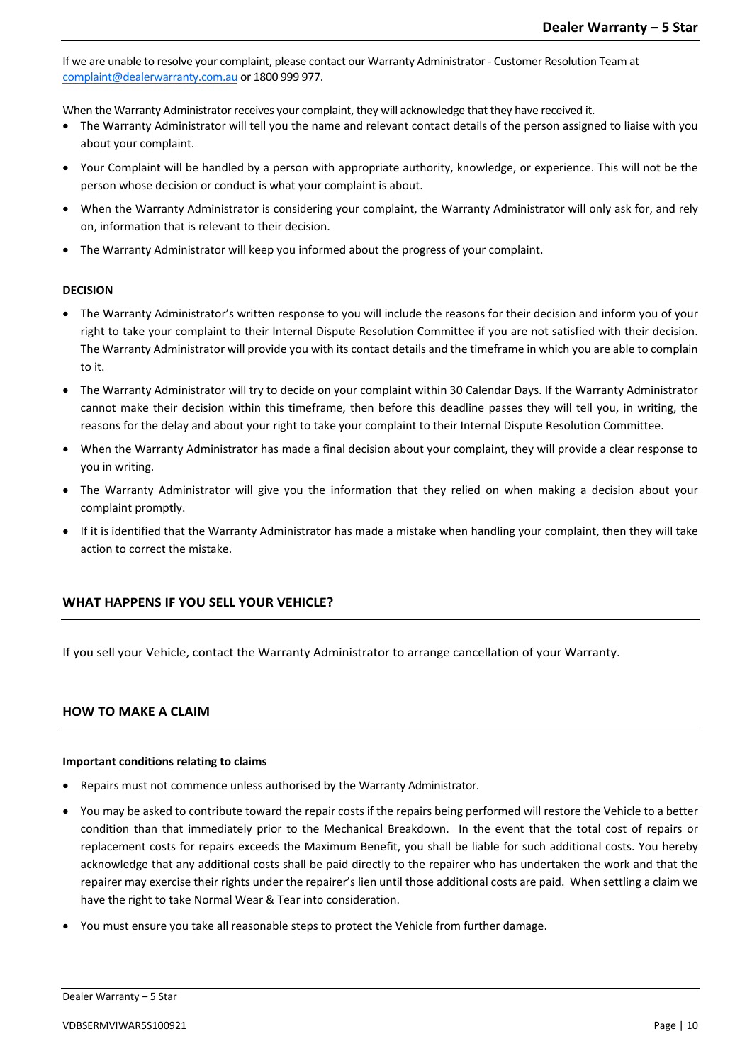If we are unable to resolve your complaint, please contact our Warranty Administrator - Customer Resolution Team at [complaint@dealerwarranty.com.au](mailto:complaint@dealerwarranty.com.au) or 1800 999 977.

When the Warranty Administrator receives your complaint, they will acknowledge that they have received it.

- The Warranty Administrator will tell you the name and relevant contact details of the person assigned to liaise with you about your complaint.
- Your Complaint will be handled by a person with appropriate authority, knowledge, or experience. This will not be the person whose decision or conduct is what your complaint is about.
- When the Warranty Administrator is considering your complaint, the Warranty Administrator will only ask for, and rely on, information that is relevant to their decision.
- The Warranty Administrator will keep you informed about the progress of your complaint.

# **DECISION**

- The Warranty Administrator's written response to you will include the reasons for their decision and inform you of your right to take your complaint to their Internal Dispute Resolution Committee if you are not satisfied with their decision. The Warranty Administrator will provide you with its contact details and the timeframe in which you are able to complain to it.
- The Warranty Administrator will try to decide on your complaint within 30 Calendar Days. If the Warranty Administrator cannot make their decision within this timeframe, then before this deadline passes they will tell you, in writing, the reasons for the delay and about your right to take your complaint to their Internal Dispute Resolution Committee.
- When the Warranty Administrator has made a final decision about your complaint, they will provide a clear response to you in writing.
- The Warranty Administrator will give you the information that they relied on when making a decision about your complaint promptly.
- If it is identified that the Warranty Administrator has made a mistake when handling your complaint, then they will take action to correct the mistake.

# **WHAT HAPPENS IF YOU SELL YOUR VEHICLE?**

If you sell your Vehicle, contact the Warranty Administrator to arrange cancellation of your Warranty.

# **HOW TO MAKE A CLAIM**

## **Important conditions relating to claims**

- Repairs must not commence unless authorised by the Warranty Administrator.
- You may be asked to contribute toward the repair costs if the repairs being performed will restore the Vehicle to a better condition than that immediately prior to the Mechanical Breakdown. In the event that the total cost of repairs or replacement costs for repairs exceeds the Maximum Benefit, you shall be liable for such additional costs. You hereby acknowledge that any additional costs shall be paid directly to the repairer who has undertaken the work and that the repairer may exercise their rights under the repairer's lien until those additional costs are paid. When settling a claim we have the right to take Normal Wear & Tear into consideration.
- You must ensure you take all reasonable steps to protect the Vehicle from further damage.